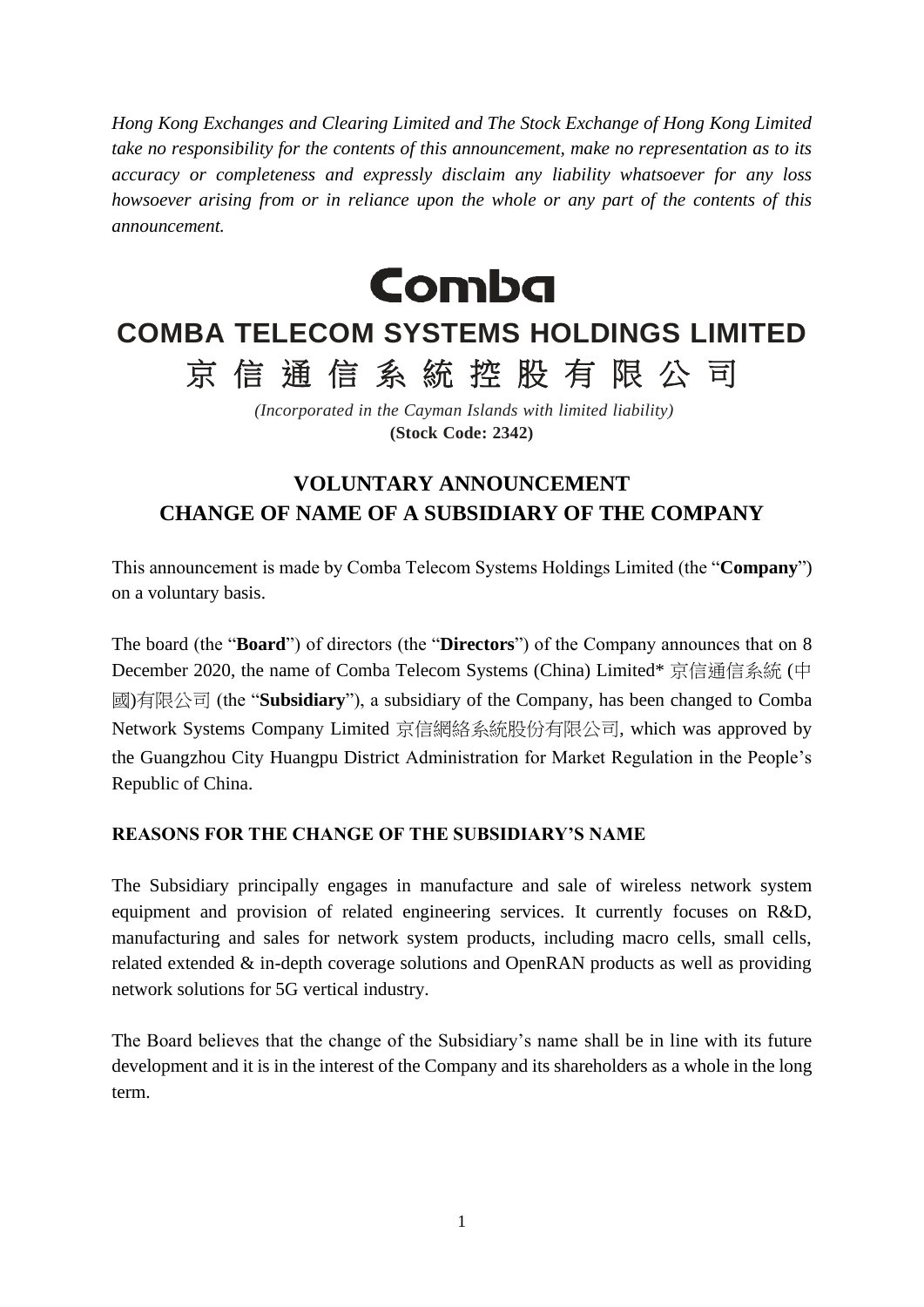*Hong Kong Exchanges and Clearing Limited and The Stock Exchange of Hong Kong Limited take no responsibility for the contents of this announcement, make no representation as to its accuracy or completeness and expressly disclaim any liability whatsoever for any loss howsoever arising from or in reliance upon the whole or any part of the contents of this announcement.*

**Comba** 

## **COMBA TELECOM SYSTEMS HOLDINGS LIMITED** 京 信 通 信 系 統 控 股 有 限 公 司

*(Incorporated in the Cayman Islands with limited liability)* **(Stock Code: 2342)**

## **VOLUNTARY ANNOUNCEMENT CHANGE OF NAME OF A SUBSIDIARY OF THE COMPANY**

This announcement is made by Comba Telecom Systems Holdings Limited (the "**Company**") on a voluntary basis.

The board (the "**Board**") of directors (the "**Directors**") of the Company announces that on 8 December 2020, the name of Comba Telecom Systems (China) Limited\* 京信通信系統 (中 國)有限公司 (the "**Subsidiary**"), a subsidiary of the Company, has been changed to Comba Network Systems Company Limited 京信網絡系統股份有限公司, which was approved by the Guangzhou City Huangpu District Administration for Market Regulation in the People's Republic of China.

## **REASONS FOR THE CHANGE OF THE SUBSIDIARY'S NAME**

The Subsidiary principally engages in manufacture and sale of wireless network system equipment and provision of related engineering services. It currently focuses on R&D, manufacturing and sales for network system products, including macro cells, small cells, related extended & in-depth coverage solutions and OpenRAN products as well as providing network solutions for 5G vertical industry.

The Board believes that the change of the Subsidiary's name shall be in line with its future development and it is in the interest of the Company and its shareholders as a whole in the long term.